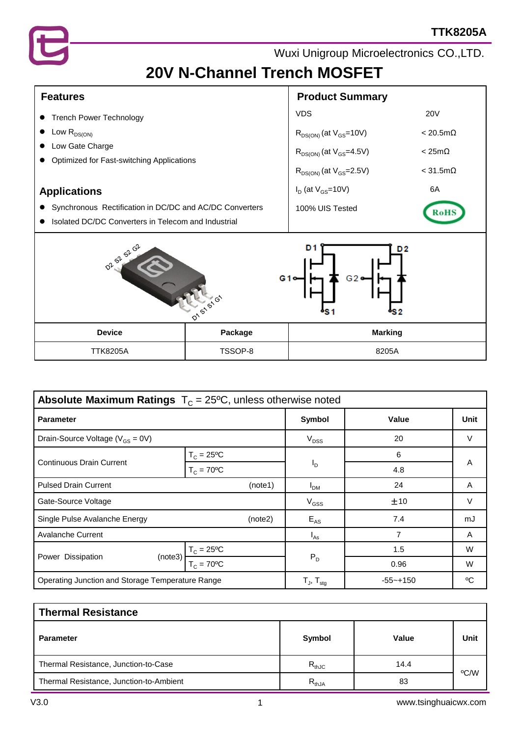

# **20V N-Channel Trench MOSFET**

| <b>Features</b>                                              | <b>Product Summary</b>           |                         |  |  |
|--------------------------------------------------------------|----------------------------------|-------------------------|--|--|
| <b>Trench Power Technology</b>                               | <b>VDS</b>                       | <b>20V</b>              |  |  |
| Low $R_{DS(ON)}$                                             | $R_{DS(ON)}$ (at $V_{GS}$ =10V)  | $< 20.5 \text{m}\Omega$ |  |  |
| Low Gate Charge<br>Optimized for Fast-switching Applications | $R_{DS(ON)}$ (at $V_{GS}$ =4.5V) | $< 25 \text{m}\Omega$   |  |  |
|                                                              | $R_{DS(ON)}$ (at $V_{GS}$ =2.5V) | $< 31.5 \text{m}\Omega$ |  |  |
| <b>Applications</b>                                          | $I_D$ (at $V_{GS}$ =10V)         | 6A                      |  |  |
| Synchronous Rectification in DC/DC and AC/DC Converters      | 100% UIS Tested                  | <b>RoHS</b>             |  |  |
| Isolated DC/DC Converters in Telecom and Industrial          |                                  |                         |  |  |



| <b>Absolute Maximum Ratings</b> $T_c = 25^{\circ}C$ , unless otherwise noted |                           |                            |              |        |  |  |
|------------------------------------------------------------------------------|---------------------------|----------------------------|--------------|--------|--|--|
| <b>Parameter</b>                                                             |                           | Symbol                     | Value        | Unit   |  |  |
| Drain-Source Voltage ( $V_{GS} = 0V$ )                                       |                           | $V_{DSS}$                  | 20           | $\vee$ |  |  |
| <b>Continuous Drain Current</b>                                              | $T_c = 25^{\circ}C$       |                            | 6            | A      |  |  |
|                                                                              | $T_c = 70^{\circ}C$       | <sup>I</sup> D             | 4.8          |        |  |  |
| <b>Pulsed Drain Current</b><br>(note1)                                       |                           | $I_{DM}$                   | 24           | A      |  |  |
| Gate-Source Voltage                                                          | $V_{GSS}$                 | ±10                        | $\vee$       |        |  |  |
| Single Pulse Avalanche Energy<br>(note2)                                     |                           | $E_{AS}$                   | 7.4          | mJ     |  |  |
| <b>Avalanche Current</b>                                                     | $I_{As}$                  | 7                          | A            |        |  |  |
|                                                                              | $T_c = 25^{\circ}C$       |                            | 1.5          | W      |  |  |
| Power Dissipation<br>(note3)                                                 | $T_c = 70$ <sup>o</sup> C | $P_D$                      | 0.96         | W      |  |  |
| Operating Junction and Storage Temperature Range                             |                           | $T_{J}$ , $T_{\text{stq}}$ | $-55 - +150$ | °C     |  |  |

| <b>Thermal Resistance</b>               |               |       |      |  |  |  |
|-----------------------------------------|---------------|-------|------|--|--|--|
| <b>Parameter</b>                        | <b>Symbol</b> | Value | Unit |  |  |  |
| Thermal Resistance, Junction-to-Case    | $R_{thJC}$    | 14.4  | °C/W |  |  |  |
| Thermal Resistance, Junction-to-Ambient | $R_{thJA}$    | 83    |      |  |  |  |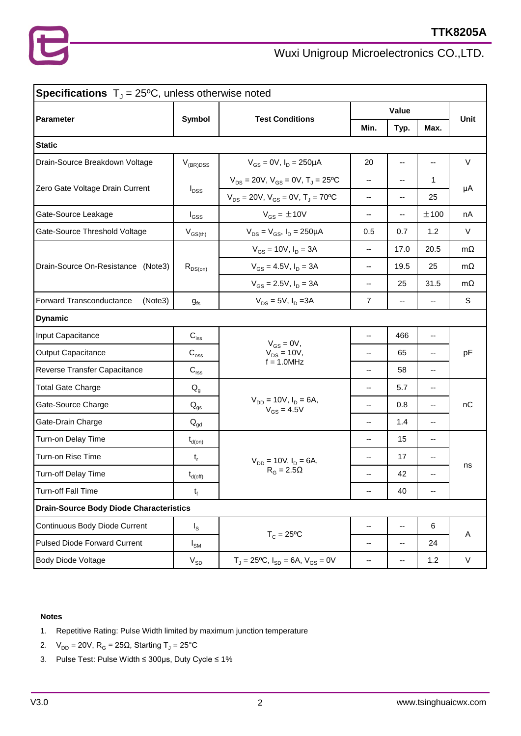| <b>Specifications</b> $T_y = 25^{\circ}C$ , unless otherwise noted |                             |                                                        |                          |      |      |             |  |
|--------------------------------------------------------------------|-----------------------------|--------------------------------------------------------|--------------------------|------|------|-------------|--|
|                                                                    |                             |                                                        | Value                    |      |      |             |  |
| Parameter                                                          | Symbol                      | <b>Test Conditions</b>                                 | Min.                     | Typ. | Max. | <b>Unit</b> |  |
| <b>Static</b>                                                      |                             |                                                        |                          |      |      |             |  |
| Drain-Source Breakdown Voltage                                     | $V_{(BR)DSS}$               | $V_{GS} = 0V$ , $I_D = 250 \mu A$                      | 20                       | Ξ.   | --   | V           |  |
|                                                                    | $I_{DSS}$                   | $V_{DS} = 20V$ , $V_{GS} = 0V$ , $T_{J} = 25^{\circ}C$ | --                       | --   | 1    | μA          |  |
| Zero Gate Voltage Drain Current                                    |                             | $V_{DS} = 20V$ , $V_{GS} = 0V$ , $T_J = 70^{\circ}C$   | --                       | --   | 25   |             |  |
| Gate-Source Leakage                                                | $I_{GSS}$                   | $V_{GS} = \pm 10V$                                     | --                       | --   | ±100 | nA          |  |
| Gate-Source Threshold Voltage                                      | $V_{GS(th)}$                | $V_{DS} = V_{GS}$ , $I_D = 250 \mu A$                  | 0.5                      | 0.7  | 1.2  | $\vee$      |  |
|                                                                    |                             | $V_{GS}$ = 10V, $I_D$ = 3A                             | --                       | 17.0 | 20.5 | $m\Omega$   |  |
| Drain-Source On-Resistance<br>(Note3)                              | $R_{DS(on)}$                | $V_{GS} = 4.5V$ , $I_D = 3A$                           | $\overline{\phantom{a}}$ | 19.5 | 25   | $m\Omega$   |  |
|                                                                    |                             | $V_{GS} = 2.5V$ , $I_D = 3A$                           | --                       | 25   | 31.5 | $m\Omega$   |  |
| Forward Transconductance<br>(Note3)                                | $g_{fs}$                    | $V_{DS} = 5V$ , $I_D = 3A$                             | 7                        | --   | --   | S           |  |
| <b>Dynamic</b>                                                     |                             |                                                        |                          |      |      |             |  |
| Input Capacitance                                                  | $C_{\text{iss}}$            | $V_{GS} = 0V$ ,                                        | --                       | 466  | --   | pF          |  |
| <b>Output Capacitance</b>                                          | $\mathsf{C}_{\mathrm{oss}}$ | $V_{DS} = 10V,$                                        | --                       | 65   | --   |             |  |
| Reverse Transfer Capacitance                                       | $C_{\text{rss}}$            | $f = 1.0$ MHz                                          | --                       | 58   | --   |             |  |
| <b>Total Gate Charge</b>                                           | $Q_{q}$                     |                                                        | --                       | 5.7  | --   |             |  |
| Gate-Source Charge                                                 | $Q_{gs}$                    | $V_{DD} = 10V$ , $I_D = 6A$ ,<br>$V_{GS} = 4.5V$       | --                       | 0.8  | --   | nC          |  |
| Gate-Drain Charge                                                  | $Q_{qd}$                    |                                                        | --                       | 1.4  | --   |             |  |
| Turn-on Delay Time                                                 | $t_{d(on)}$                 |                                                        | --                       | 15   | --   |             |  |
| Turn-on Rise Time                                                  | $t_r$                       | $V_{DD} = 10V$ , $I_D = 6A$ ,                          | --                       | 17   | --   | ns          |  |
| <b>Turn-off Delay Time</b>                                         | $t_{d(\text{off})}$         | $R_G = 2.5\Omega$                                      | --                       | 42   |      |             |  |
| Turn-off Fall Time                                                 | $t_f$                       |                                                        | --                       | 40   | --   |             |  |
| <b>Drain-Source Body Diode Characteristics</b>                     |                             |                                                        |                          |      |      |             |  |
| Continuous Body Diode Current                                      | $I_{\rm S}$                 | $T_c = 25$ °C                                          | --                       | --   | 6    | A           |  |
| <b>Pulsed Diode Forward Current</b>                                | $I_{\text{SM}}$             |                                                        | --                       | --   | 24   |             |  |
| Body Diode Voltage                                                 | $V_{SD}$                    | $T_J = 25$ °C, $I_{SD} = 6A$ , $V_{GS} = 0V$           | ۰.                       | ۰.   | 1.2  | V           |  |

#### **Notes**

- 1. Repetitive Rating: Pulse Width limited by maximum junction temperature
- 2.  $V_{DD} = 20V$ ,  $R_G = 25\Omega$ , Starting T<sub>J</sub> = 25°C
- 3. Pulse Test: Pulse Width ≤ 300μs, Duty Cycle ≤ 1%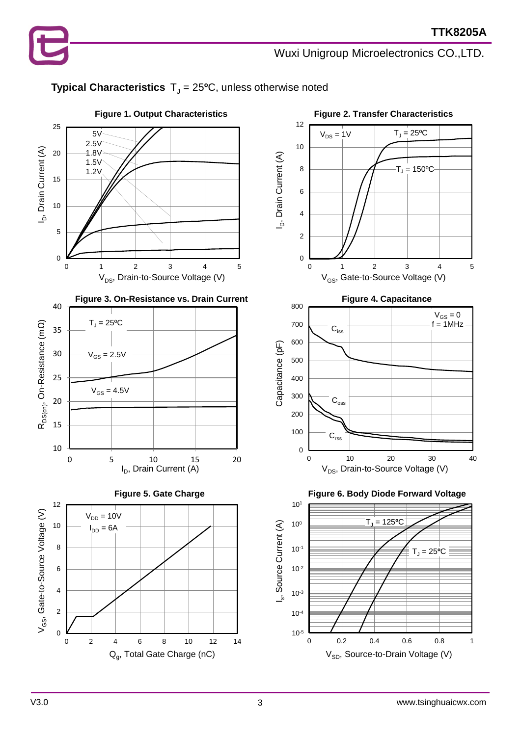

#### **Typical Characteristics**  $T_J = 25$ <sup>o</sup>C, unless otherwise noted

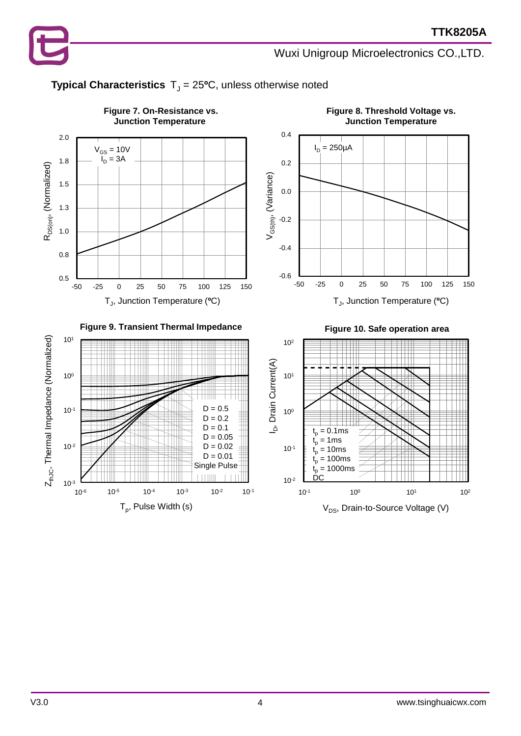



### **Typical Characteristics**  $T_J = 25$ <sup>o</sup>C, unless otherwise noted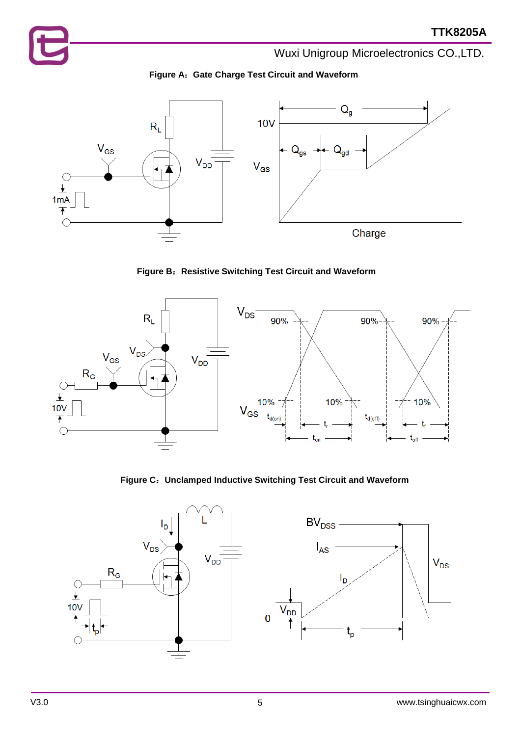



**Figure B**:**Resistive Switching Test Circuit and Waveform**



**Figure C**:**Unclamped Inductive Switching Test Circuit and Waveform**

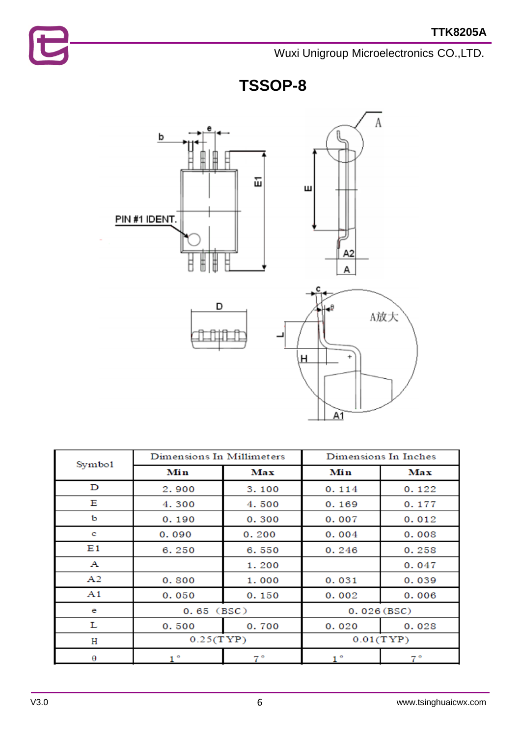





| Symbo1 | Dimensions In Millimeters |       | Dimensions In Inches |       |  |
|--------|---------------------------|-------|----------------------|-------|--|
|        | Min                       | Max   | Min                  | Max   |  |
| D      | 2.900                     | 3.100 | 0.114                | 0.122 |  |
| Е      | 4.300                     | 4.500 | 0.169                | 0.177 |  |
| ь      | 0.190                     | 0.300 | 0.007                | 0.012 |  |
| c      | 0.090                     | 0.200 | 0.004                | 0.008 |  |
| E1     | 6.250                     | 6.550 | 0.246                | 0.258 |  |
| A      |                           | 1.200 |                      | 0.047 |  |
| A2     | 0.800                     | 1.000 | 0.031                | 0.039 |  |
| A1     | 0.050                     | 0.150 | 0.002                | 0.006 |  |
| e      | $0.65$ (BSC)              |       | 0.026(BSC)           |       |  |
| L      | 0.500                     | 0.700 | 0.020                | 0.028 |  |
| н      | 0.25(TYP)                 |       | 0.01(TYP)            |       |  |
| θ      | 1 °                       | 7.°   | $1^{\circ}$          | 7°    |  |